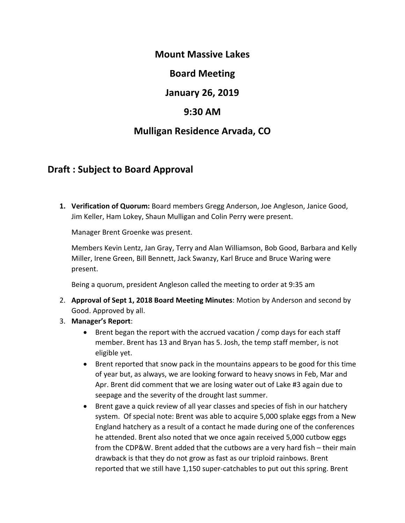### **Mount Massive Lakes**

## **Board Meeting**

## **January 26, 2019**

## **9:30 AM**

## **Mulligan Residence Arvada, CO**

# **Draft : Subject to Board Approval**

**1. Verification of Quorum:** Board members Gregg Anderson, Joe Angleson, Janice Good, Jim Keller, Ham Lokey, Shaun Mulligan and Colin Perry were present.

Manager Brent Groenke was present.

Members Kevin Lentz, Jan Gray, Terry and Alan Williamson, Bob Good, Barbara and Kelly Miller, Irene Green, Bill Bennett, Jack Swanzy, Karl Bruce and Bruce Waring were present.

Being a quorum, president Angleson called the meeting to order at 9:35 am

- 2. **Approval of Sept 1, 2018 Board Meeting Minutes**: Motion by Anderson and second by Good. Approved by all.
- 3. **Manager's Report**:
	- Brent began the report with the accrued vacation / comp days for each staff member. Brent has 13 and Bryan has 5. Josh, the temp staff member, is not eligible yet.
	- Brent reported that snow pack in the mountains appears to be good for this time of year but, as always, we are looking forward to heavy snows in Feb, Mar and Apr. Brent did comment that we are losing water out of Lake #3 again due to seepage and the severity of the drought last summer.
	- Brent gave a quick review of all year classes and species of fish in our hatchery system. Of special note: Brent was able to acquire 5,000 splake eggs from a New England hatchery as a result of a contact he made during one of the conferences he attended. Brent also noted that we once again received 5,000 cutbow eggs from the CDP&W. Brent added that the cutbows are a very hard fish – their main drawback is that they do not grow as fast as our triploid rainbows. Brent reported that we still have 1,150 super-catchables to put out this spring. Brent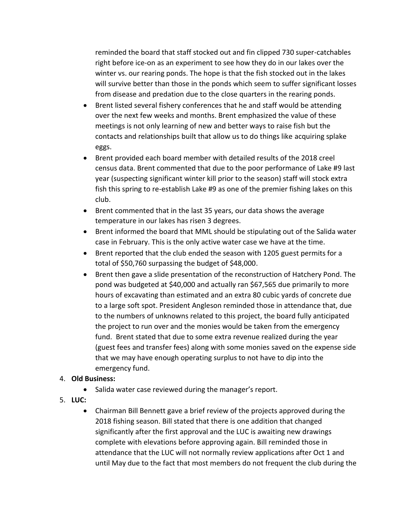reminded the board that staff stocked out and fin clipped 730 super-catchables right before ice-on as an experiment to see how they do in our lakes over the winter vs. our rearing ponds. The hope is that the fish stocked out in the lakes will survive better than those in the ponds which seem to suffer significant losses from disease and predation due to the close quarters in the rearing ponds.

- Brent listed several fishery conferences that he and staff would be attending over the next few weeks and months. Brent emphasized the value of these meetings is not only learning of new and better ways to raise fish but the contacts and relationships built that allow us to do things like acquiring splake eggs.
- Brent provided each board member with detailed results of the 2018 creel census data. Brent commented that due to the poor performance of Lake #9 last year (suspecting significant winter kill prior to the season) staff will stock extra fish this spring to re-establish Lake #9 as one of the premier fishing lakes on this club.
- Brent commented that in the last 35 years, our data shows the average temperature in our lakes has risen 3 degrees.
- Brent informed the board that MML should be stipulating out of the Salida water case in February. This is the only active water case we have at the time.
- Brent reported that the club ended the season with 1205 guest permits for a total of \$50,760 surpassing the budget of \$48,000.
- Brent then gave a slide presentation of the reconstruction of Hatchery Pond. The pond was budgeted at \$40,000 and actually ran \$67,565 due primarily to more hours of excavating than estimated and an extra 80 cubic yards of concrete due to a large soft spot. President Angleson reminded those in attendance that, due to the numbers of unknowns related to this project, the board fully anticipated the project to run over and the monies would be taken from the emergency fund. Brent stated that due to some extra revenue realized during the year (guest fees and transfer fees) along with some monies saved on the expense side that we may have enough operating surplus to not have to dip into the emergency fund.

#### 4. **Old Business:**

- Salida water case reviewed during the manager's report.
- 5. **LUC:**
	- Chairman Bill Bennett gave a brief review of the projects approved during the 2018 fishing season. Bill stated that there is one addition that changed significantly after the first approval and the LUC is awaiting new drawings complete with elevations before approving again. Bill reminded those in attendance that the LUC will not normally review applications after Oct 1 and until May due to the fact that most members do not frequent the club during the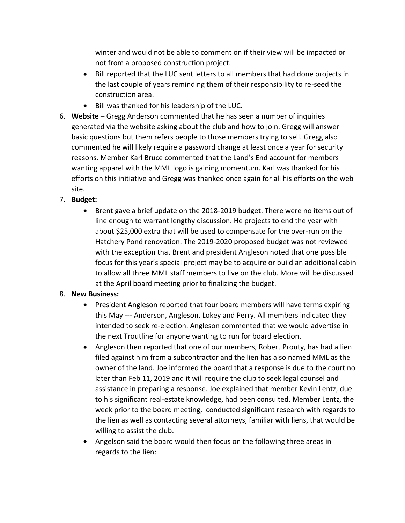winter and would not be able to comment on if their view will be impacted or not from a proposed construction project.

- Bill reported that the LUC sent letters to all members that had done projects in the last couple of years reminding them of their responsibility to re-seed the construction area.
- Bill was thanked for his leadership of the LUC.
- 6. **Website –** Gregg Anderson commented that he has seen a number of inquiries generated via the website asking about the club and how to join. Gregg will answer basic questions but them refers people to those members trying to sell. Gregg also commented he will likely require a password change at least once a year for security reasons. Member Karl Bruce commented that the Land's End account for members wanting apparel with the MML logo is gaining momentum. Karl was thanked for his efforts on this initiative and Gregg was thanked once again for all his efforts on the web site.
- 7. **Budget:**
	- Brent gave a brief update on the 2018-2019 budget. There were no items out of line enough to warrant lengthy discussion. He projects to end the year with about \$25,000 extra that will be used to compensate for the over-run on the Hatchery Pond renovation. The 2019-2020 proposed budget was not reviewed with the exception that Brent and president Angleson noted that one possible focus for this year's special project may be to acquire or build an additional cabin to allow all three MML staff members to live on the club. More will be discussed at the April board meeting prior to finalizing the budget.

## 8. **New Business:**

- President Angleson reported that four board members will have terms expiring this May --- Anderson, Angleson, Lokey and Perry. All members indicated they intended to seek re-election. Angleson commented that we would advertise in the next Troutline for anyone wanting to run for board election.
- Angleson then reported that one of our members, Robert Prouty, has had a lien filed against him from a subcontractor and the lien has also named MML as the owner of the land. Joe informed the board that a response is due to the court no later than Feb 11, 2019 and it will require the club to seek legal counsel and assistance in preparing a response. Joe explained that member Kevin Lentz, due to his significant real-estate knowledge, had been consulted. Member Lentz, the week prior to the board meeting, conducted significant research with regards to the lien as well as contacting several attorneys, familiar with liens, that would be willing to assist the club.
- Angelson said the board would then focus on the following three areas in regards to the lien: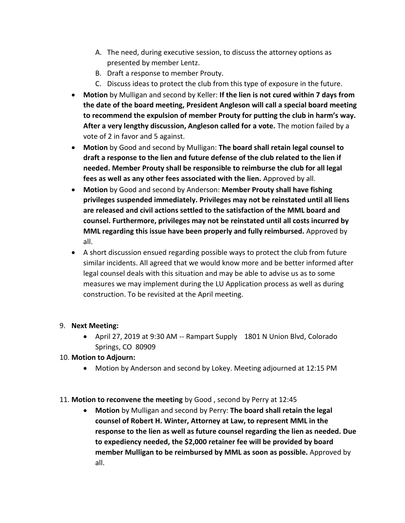- A. The need, during executive session, to discuss the attorney options as presented by member Lentz.
- B. Draft a response to member Prouty.
- C. Discuss ideas to protect the club from this type of exposure in the future.
- **Motion** by Mulligan and second by Keller: **If the lien is not cured within 7 days from the date of the board meeting, President Angleson will call a special board meeting to recommend the expulsion of member Prouty for putting the club in harm's way. After a very lengthy discussion, Angleson called for a vote.** The motion failed by a vote of 2 in favor and 5 against.
- **Motion** by Good and second by Mulligan: **The board shall retain legal counsel to draft a response to the lien and future defense of the club related to the lien if needed. Member Prouty shall be responsible to reimburse the club for all legal fees as well as any other fees associated with the lien.** Approved by all.
- **Motion** by Good and second by Anderson: **Member Prouty shall have fishing privileges suspended immediately. Privileges may not be reinstated until all liens are released and civil actions settled to the satisfaction of the MML board and counsel. Furthermore, privileges may not be reinstated until all costs incurred by MML regarding this issue have been properly and fully reimbursed.** Approved by all.
- A short discussion ensued regarding possible ways to protect the club from future similar incidents. All agreed that we would know more and be better informed after legal counsel deals with this situation and may be able to advise us as to some measures we may implement during the LU Application process as well as during construction. To be revisited at the April meeting.

#### 9. **Next Meeting:**

• April 27, 2019 at 9:30 AM -- Rampart Supply 1801 N Union Blvd, Colorado Springs, CO 80909

#### 10. **Motion to Adjourn:**

• Motion by Anderson and second by Lokey. Meeting adjourned at 12:15 PM

#### 11. **Motion to reconvene the meeting** by Good , second by Perry at 12:45

• **Motion** by Mulligan and second by Perry: **The board shall retain the legal counsel of Robert H. Winter, Attorney at Law, to represent MML in the response to the lien as well as future counsel regarding the lien as needed. Due to expediency needed, the \$2,000 retainer fee will be provided by board member Mulligan to be reimbursed by MML as soon as possible.** Approved by all.